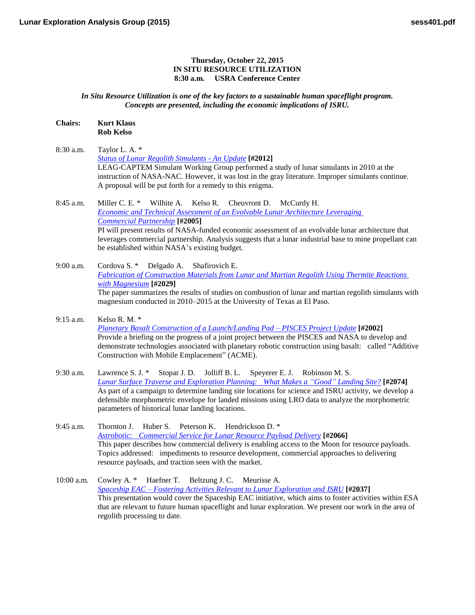## **Thursday, October 22, 2015 IN SITU RESOURCE UTILIZATION 8:30 a.m. USRA Conference Center**

*In Situ Resource Utilization is one of the key factors to a sustainable human spaceflight program. Concepts are presented, including the economic implications of ISRU.*

## **Chairs: Kurt Klaus Rob Kelso**

8:30 a.m. Taylor L. A. \* *[Status of Lunar Regolith Simulants -](http://www.hou.usra.edu/meetings/leag2015/pdf/2012.pdf) An Update* **[#2012]** LEAG-CAPTEM Simulant Working Group performed a study of lunar simulants in 2010 at the instruction of NASA-NAC. However, it was lost in the gray literature. Improper simulants continue. A proposal will be put forth for a remedy to this enigma.

8:45 a.m. Miller C. E. \* Wilhite A. Kelso R. Cheuvront D. McCurdy H. *[Economic and Technical Assessment of an Evolvable Lunar Architecture Leveraging](http://www.hou.usra.edu/meetings/leag2015/pdf/2005.pdf)  [Commercial](http://www.hou.usra.edu/meetings/leag2015/pdf/2005.pdf) Partnership* **[#2005]** PI will present results of NASA-funded economic assessment of an evolvable lunar architecture that leverages commercial partnership. Analysis suggests that a lunar industrial base to mine propellant can be established within NASA's existing budget.

9:00 a.m. Cordova S. \* Delgado A. Shafirovich E. *[Fabrication of Construction Materials from Lunar and Martian Regolith Using Thermite Reactions](http://www.hou.usra.edu/meetings/leag2015/pdf/2029.pdf)  with [Magnesium](http://www.hou.usra.edu/meetings/leag2015/pdf/2029.pdf)* **[#2029]** The paper summarizes the results of studies on combustion of lunar and martian regolith simulants with magnesium conducted in 2010–2015 at the University of Texas at El Paso.

- 9:15 a.m. Kelso R. M. \* *[Planetary Basalt Construction of a Launch/Landing Pad –](http://www.hou.usra.edu/meetings/leag2015/pdf/2002.pdf) PISCES Project Update* **[#2002]** Provide a briefing on the progress of a joint project between the PISCES and NASA to develop and demonstrate technologies associated with planetary robotic construction using basalt: called "Additive Construction with Mobile Emplacement" (ACME).
- 9:30 a.m. Lawrence S. J. \* Stopar J. D. Jolliff B. L. Speyerer E. J. Robinson M. S. *[Lunar Surface Traverse and Exploration Planning: What Makes a "Good"](http://www.hou.usra.edu/meetings/leag2015/pdf/2074.pdf) Landing Site?* **[#2074]** As part of a campaign to determine landing site locations for science and ISRU activity, we develop a defensible morphometric envelope for landed missions using LRO data to analyze the morphometric parameters of historical lunar landing locations.
- 9:45 a.m. Thornton J. Huber S. Peterson K. Hendrickson D. \* *[Astrobotic: Commercial Service for Lunar Resource Payload](http://www.hou.usra.edu/meetings/leag2015/pdf/2066.pdf) Delivery* **[#2066]** This paper describes how commercial delivery is enabling access to the Moon for resource payloads. Topics addressed: impediments to resource development, commercial approaches to delivering resource payloads, and traction seen with the market.
- 10:00 a.m. Cowley A. \* Haefner T. Beltzung J. C. Meurisse A. *Spaceship EAC – [Fostering Activities Relevant to Lunar Exploration and](http://www.hou.usra.edu/meetings/leag2015/pdf/2037.pdf) ISRU* **[#2037]** This presentation would cover the Spaceship EAC initiative, which aims to foster activities within ESA that are relevant to future human spaceflight and lunar exploration. We present our work in the area of regolith processing to date.